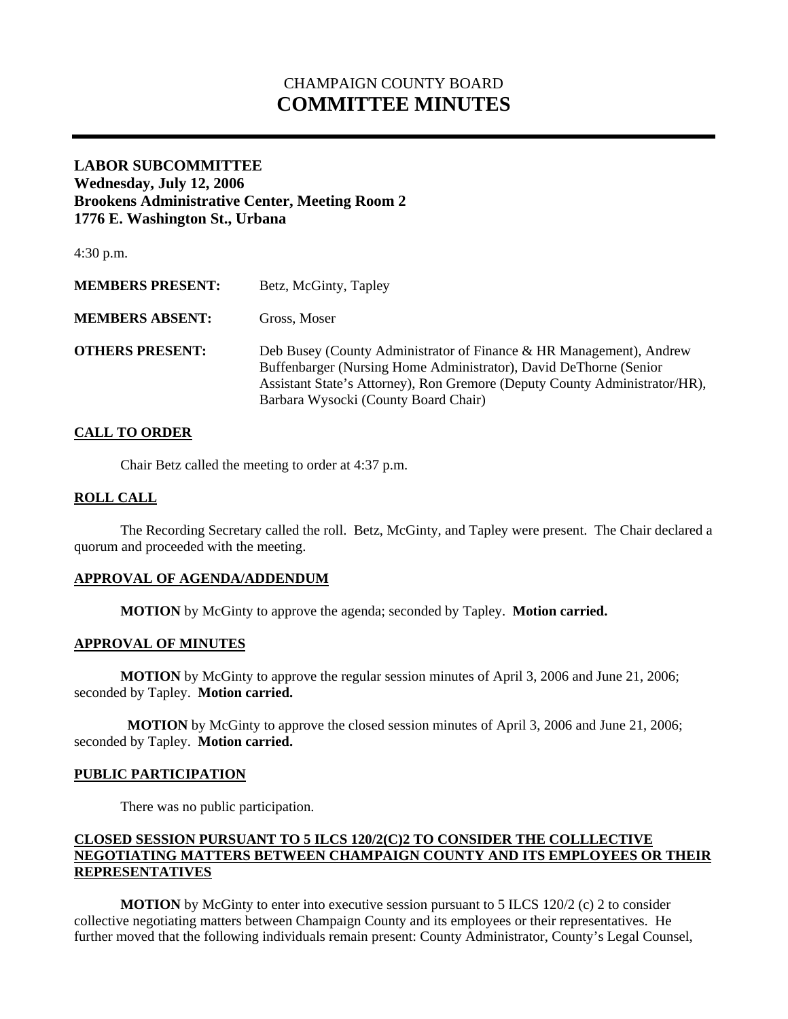# CHAMPAIGN COUNTY BOARD **COMMITTEE MINUTES**

# **LABOR SUBCOMMITTEE Wednesday, July 12, 2006 Brookens Administrative Center, Meeting Room 2 1776 E. Washington St., Urbana**

| 4:30 p.m.               |                                                                                                                                                                                                                                                                |
|-------------------------|----------------------------------------------------------------------------------------------------------------------------------------------------------------------------------------------------------------------------------------------------------------|
| <b>MEMBERS PRESENT:</b> | Betz, McGinty, Tapley                                                                                                                                                                                                                                          |
| <b>MEMBERS ABSENT:</b>  | Gross, Moser                                                                                                                                                                                                                                                   |
| <b>OTHERS PRESENT:</b>  | Deb Busey (County Administrator of Finance & HR Management), Andrew<br>Buffenbarger (Nursing Home Administrator), David DeThorne (Senior<br>Assistant State's Attorney), Ron Gremore (Deputy County Administrator/HR),<br>Barbara Wysocki (County Board Chair) |

# **CALL TO ORDER**

Chair Betz called the meeting to order at 4:37 p.m.

## **ROLL CALL**

 The Recording Secretary called the roll. Betz, McGinty, and Tapley were present. The Chair declared a quorum and proceeded with the meeting.

## **APPROVAL OF AGENDA/ADDENDUM**

 **MOTION** by McGinty to approve the agenda; seconded by Tapley. **Motion carried.** 

#### **APPROVAL OF MINUTES**

**MOTION** by McGinty to approve the regular session minutes of April 3, 2006 and June 21, 2006; seconded by Tapley. **Motion carried.** 

 **MOTION** by McGinty to approve the closed session minutes of April 3, 2006 and June 21, 2006; seconded by Tapley. **Motion carried.**

#### **PUBLIC PARTICIPATION**

There was no public participation.

# **CLOSED SESSION PURSUANT TO 5 ILCS 120/2(C)2 TO CONSIDER THE COLLLECTIVE NEGOTIATING MATTERS BETWEEN CHAMPAIGN COUNTY AND ITS EMPLOYEES OR THEIR REPRESENTATIVES**

**MOTION** by McGinty to enter into executive session pursuant to 5 ILCS 120/2 (c) 2 to consider collective negotiating matters between Champaign County and its employees or their representatives. He further moved that the following individuals remain present: County Administrator, County's Legal Counsel,